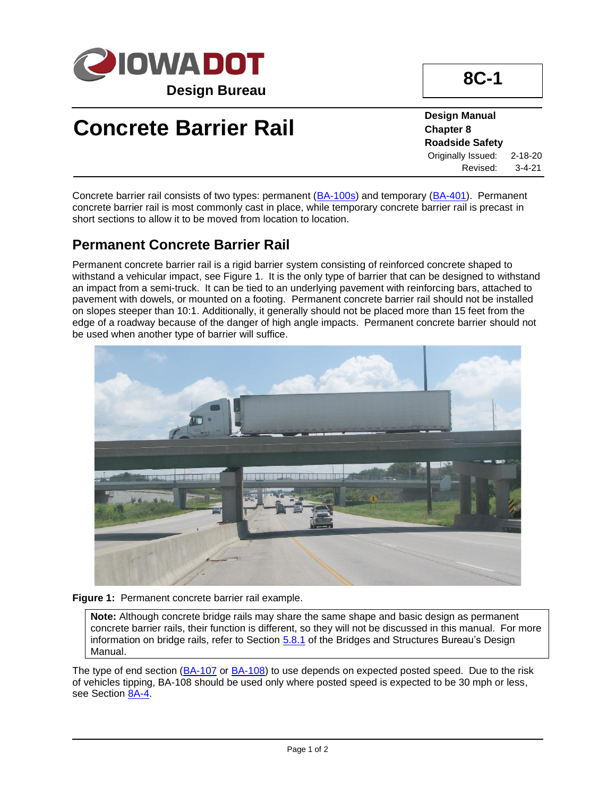

# **Concrete Barrier Rail**

**Design Manual Chapter 8 Roadside Safety** Originally Issued: 2-18-20 Revised: 3-4-21

**8C-1**

Concrete barrier rail consists of two types: permanent [\(BA-100s\)](../stdplne_ba) and temporary [\(BA-401\)](../SRP/IndividualStandards/ba401.pdf). Permanent concrete barrier rail is most commonly cast in place, while temporary concrete barrier rail is precast in short sections to allow it to be moved from location to location.

#### **Permanent Concrete Barrier Rail**

Permanent concrete barrier rail is a rigid barrier system consisting of reinforced concrete shaped to withstand a vehicular impact, see Figure 1. It is the only type of barrier that can be designed to withstand an impact from a semi-truck. It can be tied to an underlying pavement with reinforcing bars, attached to pavement with dowels, or mounted on a footing. Permanent concrete barrier rail should not be installed on slopes steeper than 10:1. Additionally, it generally should not be placed more than 15 feet from the edge of a roadway because of the danger of high angle impacts. Permanent concrete barrier should not be used when another type of barrier will suffice.



**Figure 1:** Permanent concrete barrier rail example.

**Note:** Although concrete bridge rails may share the same shape and basic design as permanent concrete barrier rails, their function is different, so they will not be discussed in this manual. For more information on bridge rails, refer to Section [5.8.1](https://iowadot.gov/bridge/policy/05-08-01BRailLRFD.pdf) of the Bridges and Structures Bureau's Design Manual.

The type of end section [\(BA-107](../SRP/IndividualStandards/ba107.pdf) or [BA-108\)](../SRP/IndividualStandards/ba108.pdf) to use depends on expected posted speed. Due to the risk of vehicles tipping, BA-108 should be used only where posted speed is expected to be 30 mph or less, see Section [8A-4.](08A-04.pdf)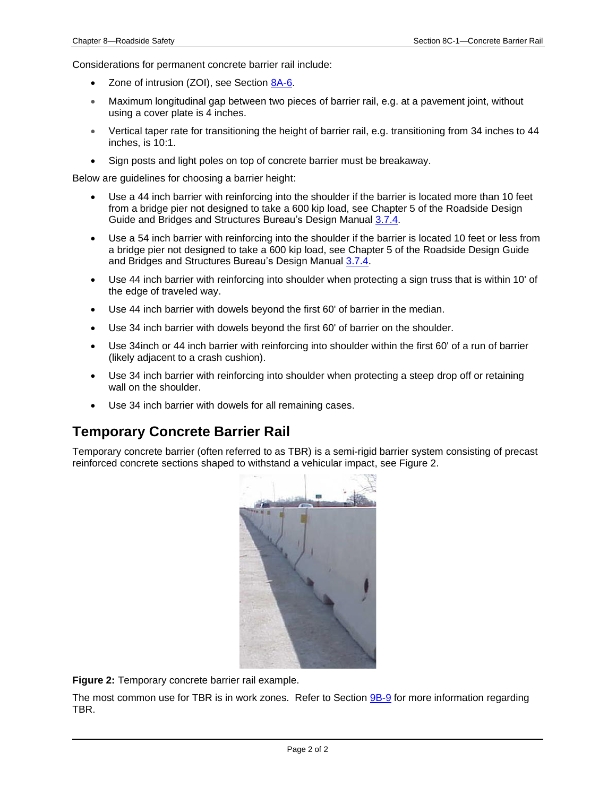Considerations for permanent concrete barrier rail include:

- Zone of intrusion (ZOI), see Section [8A-6.](08A-06.pdf)
- Maximum longitudinal gap between two pieces of barrier rail, e.g. at a pavement joint, without using a cover plate is 4 inches.
- Vertical taper rate for transitioning the height of barrier rail, e.g. transitioning from 34 inches to 44 inches, is 10:1.
- Sign posts and light poles on top of concrete barrier must be breakaway.

Below are guidelines for choosing a barrier height:

- Use a 44 inch barrier with reinforcing into the shoulder if the barrier is located more than 10 feet from a bridge pier not designed to take a 600 kip load, see Chapter 5 of the Roadside Design Guide and Bridges and Structures Bureau's Design Manual [3.7.4.](https://iowadot.gov/bridge/policy/03-01-00Prelim.pdf)
- Use a 54 inch barrier with reinforcing into the shoulder if the barrier is located 10 feet or less from a bridge pier not designed to take a 600 kip load, see Chapter 5 of the Roadside Design Guide and Bridges and Structures Bureau's Design Manual [3.7.4.](https://iowadot.gov/bridge/policy/03-01-00Prelim.pdf)
- Use 44 inch barrier with reinforcing into shoulder when protecting a sign truss that is within 10' of the edge of traveled way.
- Use 44 inch barrier with dowels beyond the first 60' of barrier in the median.
- Use 34 inch barrier with dowels beyond the first 60' of barrier on the shoulder.
- Use 34inch or 44 inch barrier with reinforcing into shoulder within the first 60' of a run of barrier (likely adjacent to a crash cushion).
- Use 34 inch barrier with reinforcing into shoulder when protecting a steep drop off or retaining wall on the shoulder.
- Use 34 inch barrier with dowels for all remaining cases.

#### **Temporary Concrete Barrier Rail**

Temporary concrete barrier (often referred to as TBR) is a semi-rigid barrier system consisting of precast reinforced concrete sections shaped to withstand a vehicular impact, see Figure 2.



**Figure 2:** Temporary concrete barrier rail example.

The most common use for TBR is in work zones. Refer to Section [9B-9](09b-09.pdf) for more information regarding TBR.